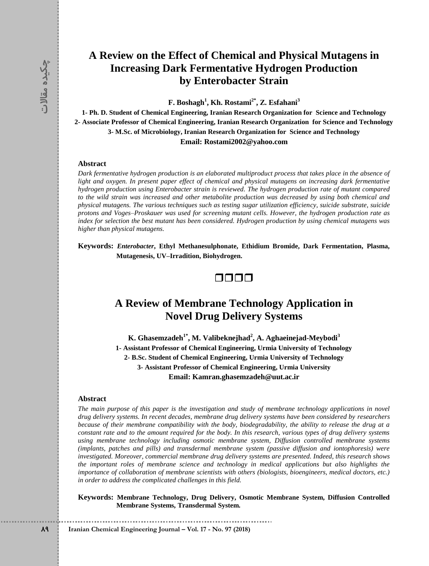# **A Review on the Effect of Chemical and Physical Mutagens in Increasing Dark Fermentative Hydrogen Production by Enterobacter Strain**

**F. Boshagh<sup>1</sup> , Kh. Rostami2\* , Z. Esfahani<sup>3</sup>**

**1- Ph. D. Student of Chemical Engineering, Iranian Research Organization for Science and Technology 2- Associate Professor of Chemical Engineering, Iranian Research Organization for Science and Technology 3- M.Sc. of Microbiology, Iranian Research Organization for Science and Technology Email: Rostami2002@yahoo.com**

#### **Abstract**

*Dark fermentative hydrogen production is an elaborated multiproduct process that takes place in the absence of light and oxygen. In present paper effect of chemical and physical mutagens on increasing dark fermentative hydrogen production using Enterobacter strain is reviewed. The hydrogen production rate of mutant compared to the wild strain was increased and other metabolite production was decreased by using both chemical and physical mutagens. The various techniques such as testing sugar utilization efficiency, suicide substrate, suicide protons and Voges–Proskauer was used for screening mutant cells. However, the hydrogen production rate as index for selection the best mutant has been considered. Hydrogen production by using chemical mutagens was higher than physical mutagens.*

**Keywords:** *Enterobacter***, Ethyl Methanesulphonate, Ethidium Bromide, Dark Fermentation, Plasma, Mutagenesis, UV–Irradition, Biohydrogen.**



# **A Review of Membrane Technology Application in Novel Drug Delivery Systems**

**K. Ghasemzadeh1\* , M. Valibeknejhad<sup>2</sup> , A. Aghaeinejad-Meybodi<sup>3</sup> 1- Assistant Professor of Chemical Engineering, Urmia University of Technology 2- B.Sc. Student of Chemical Engineering, Urmia University of Technology 3- Assistant Professor of Chemical Engineering, Urmia University Email: Kamran.ghasemzadeh@uut.ac.ir**

#### **Abstract**

**IFFREE SECUTE 1988**<br> **F Example 1888**<br> **F Engineering Ensimple Kn. Rostamin Research Organization**<br> **F Example 1888**<br> **Example 1988**<br> **P IRMSC of Microbiology Lranian Research Organization**<br> **Abstract**<br> **Abstract** *The main purpose of this paper is the investigation and study of membrane technology applications in novel drug delivery systems. In recent decades, membrane drug delivery systems have been considered by researchers because of their membrane compatibility with the body, biodegradability, the ability to release the drug at a constant rate and to the amount required for the body. In this research, various types of drug delivery systems using membrane technology including osmotic membrane system, Diffusion controlled membrane systems (implants, patches and pills) and transdermal membrane system (passive diffusion and iontophoresis) were investigated. Moreover, commercial membrane drug delivery systems are presented. Indeed, this research shows the important roles of membrane science and technology in medical applications but also highlights the importance of collaboration of membrane scientists with others (biologists, bioengineers, medical doctors, etc.) in order to address the complicated challenges in this field.*

**Keywords: Membrane Technology, Drug Delivery, Osmotic Membrane System, Diffusion Controlled Membrane Systems, Transdermal System.**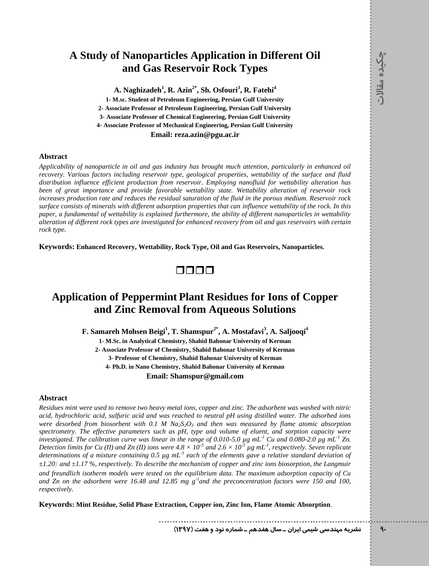# **A Study of Nanoparticles Application in Different Oil and Gas Reservoir Rock Types**

**A. Naghizadeh<sup>1</sup> , R. Azin2\* , Sh. Osfouri<sup>3</sup> , R. Fatehi<sup>4</sup>**

**1- M.sc. Student of Petroleum Engineering, Persian Gulf University 2- Associate Professor of Petroleum Engineering, Persian Gulf University 3- Associate Professor of Chemical Engineering, Persian Gulf University 4- Associate Professor of Mechanical Engineering, Persian Gulf University Email: reza.azin@pgu.ac.ir**

#### **Abstract**

*Applicability of nanoparticle in oil and gas industry has brought much attention, particularly in enhanced oil recovery. Various factors including reservoir type, geological properties, wettability of the surface and fluid distribution influence efficient production from reservoir. Employing nanofluid for wettability alteration has been of great importance and provide favorable wettability state. Wettability alteration of reservoir rock increases production rate and reduces the residual saturation of the fluid in the porous medium. Reservoir rock surface consists of minerals with different adsorption properties that can influence wettability of the rock. In this paper, a fundamental of wettability is explained furthermore, the ability of different nanoparticles in wettability alteration of different rock types are investigated for enhanced recovery from oil and gas reservoirs with certain rock type.* 

**Keywords: Enhanced Recovery, Wettability, Rock Type, Oil and Gas Reservoirs, Nanoparticles.**

0000

# **Application of Peppermint Plant Residues for Ions of Copper and Zinc Removal from Aqueous Solutions**

**F. Samareh Mohsen Beigi<sup>1</sup> , T. Shamspur2\* , A. Mostafavi<sup>3</sup> , A. Saljooqi<sup>4</sup>**

**1- M.Sc. in Analytical Chemistry, Shahid Bahonar University of Kerman 2- Associate Professor of Chemistry, Shahid Bahonar University of Kerman 3- Professor of Chemistry, Shahid Bahonar University of Kerman 4- Ph.D. in Nano Chemistry, Shahid Bahonar University of Kerman Email: [Shamspur@gmail.com](mailto:Shamspur@gmail.com)**

#### **Abstract**

*Residues mint were used to remove two heavy metal ions, copper and zinc. The adsorbent was washed with nitric acid, hydrochloric acid, sulfuric acid and was reached to neutral pH using distilled water. The adsorbed ions were desorbed from biosorbent with 0.1 M*  $Na<sub>2</sub>S<sub>2</sub>O<sub>3</sub>$  *and then was measured by flame atomic absorption spectrometry. The effective parameters such as pH, type and volume of eluent, and sorption capacity were investigated. The calibration curve was linear in the range of 0.010-5.0 µg mL-1 Cu and 0.080-2.0 µg mL-1 Zn. Detection limits for Cu (II) and Zn (II) ions were*  $4.8 \times 10^{-3}$  *and*  $2.6 \times 10^{-3}$  *µg mL<sup>-1</sup>, respectively. Seven replicate determinations of a mixture containing 0.5 µg mL-1 each of the elements gave a relative standard deviation of ±1.20*% *and ±1.17 %, respectively. To describe the mechanism of copper and zinc ions biosorption, the Langmuir and freundlich isotherm models were tested on the equilibrium data. The maximum adsorption capacity of Cu* 

and Zn on the adsorbent were 16.48 and 12.85 mg g<sup>-1</sup> and the preconcentration factors were 150 and 100, *respectively.*

**Keywords: Mint Residue, Solid Phase Extraction, Copper ion, Zinc Ion, Flame Atomic Absorption.**

**89 نشريه مهندسي شيمي ايران ـ سال هفدهم ـ شماره نود و هفت )9317(**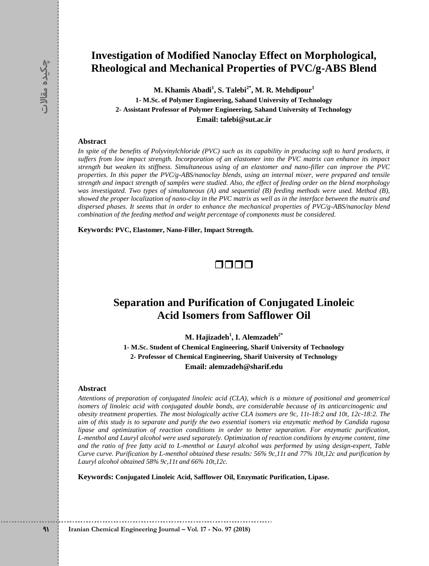# **Investigation of Modified Nanoclay Effect on Morphological, Rheological and Mechanical Properties of PVC/g-ABS Blend**

**M. Khamis Abadi<sup>1</sup> , S. Talebi2\* , M. R. Mehdipour<sup>1</sup> 1- M.Sc. of Polymer Engineering, Sahand University of Technology 2- Assistant Professor of Polymer Engineering, Sahand University of Technology Email: talebi@sut.ac.ir**

#### **Abstract**

**89 <b>Example 2018 Example 2018 Control Chemical Engineering, Shadon**<br> **8 Example 21 ALSCS of Polyviny Icharge Engineering Shame 1. Mass. Control Chemic Engineering Shame 2018 Abstract**<br> **8** *Iragine 6 the bene In spite of the benefits of Polyvinylchloride (PVC) such as its capability in producing soft to hard products, it suffers from low impact strength. Incorporation of an elastomer into the PVC matrix can enhance its impact strength but weaken its stiffness. Simultaneous using of an elastomer and nano-filler can improve the PVC properties. In this paper the PVC/g-ABS/nanoclay blends, using an internal mixer, were prepared and tensile strength and impact strength of samples were studied. Also, the effect of feeding order on the blend morphology was investigated. Two types of simultaneous (A) and sequential (B) feeding methods were used. Method (B), showed the proper localization of nano-clay in the PVC matrix as well as in the interface between the matrix and dispersed phases. It seems that in order to enhance the mechanical properties of PVC/g-ABS/nanoclay blend combination of the feeding method and weight percentage of components must be considered.*

**Keywords: PVC, Elastomer, Nano-Filler, Impact Strength.**

### OOOO

### **Separation and Purification of Conjugated Linoleic Acid Isomers from Safflower Oil**

**M. Hajizadeh<sup>1</sup> , I. Alemzadeh2\***

**1- M.Sc. Student of Chemical Engineering, Sharif University of Technology 2- Professor of Chemical Engineering, Sharif University of Technology Email: alemzadeh@sharif.edu**

#### **Abstract**

*Attentions of preparation of conjugated linoleic acid (CLA), which is a mixture of positional and geometrical isomers of linoleic acid with conjugated double bonds, are considerable because of its anticarcinogenic and obesity treatment properties. The most biologically active CLA isomers are 9c, 11t-18:2 and 10t, 12c-18:2. The aim of this study is to separate and purify the two essential isomers via enzymatic method by Candida rugosa lipase and optimization of reaction conditions in order to better separation. For enzymatic purification, L-menthol and Lauryl alcohol were used separately. Optimization of reaction conditions by enzyme content, time and the ratio of free fatty acid to L-menthol or Lauryl alcohol was performed by using design-expert, Table Curve curve. Purification by L-menthol obtained these results: 56% 9c,11t and 77% 10t,12c and purification by Lauryl alcohol obtained 58% 9c,11t and 66% 10t,12c.*

**Keywords: Conjugated Linoleic Acid, Safflower Oil, Enzymatic Purification, Lipase.**